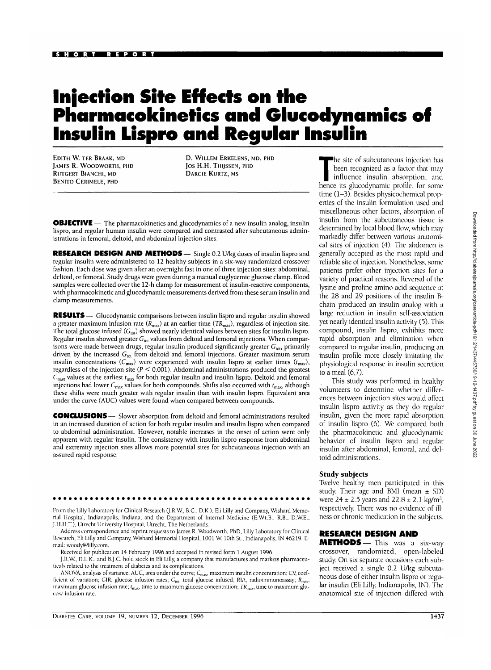# **Injection Site Effects on the Pharmacolcinetics and Glucodynamics of Insulin Lispro and Regular Insulin**

EDITH W. TER BRAAK, MD JAMES R. WOODWORTH, PHD RUTGERT BIANCHI, MD BENITO CERIMELE, PHD

D. WlLLEM ERKELENS, MD, PHD Jos H.H. THIJSSEN, PHD DARCIE KURTZ, MS

**OBJECTIVE** — The pharmacokinetics and glucodynamics of a new insulin analog, insulin lispro, and regular human insulin were compared and contrasted after subcutaneous administrations in femoral, deltoid, and abdominal injection sites.

**RESEARCH DESIGN AND METHODS—** Single 0.2 U/kg doses of insulin lispro and regular insulin were administered to 12 healthy subjects in a six-way randomized crossover fashion. Each dose was given after an overnight fast in one of three injection sites: abdominal, deltoid, or femoral. Study drugs were given during a manual euglycemic glucose clamp. Blood samples were collected over the 12-h clamp for measurement of insulin-reactive components, with pharmacokinetic and glucodynamic measurements derived from these serum insulin and clamp measurements.

**RESULTS** — Glucodynamic comparisons between insulin lispro and regular insulin showed a greater maximum infusion rate  $(R_{\text{max}})$  at an earlier time  $(TR_{\text{max}})$ , regardless of injection site. The total glucose infused  $(G_{\text{tot}})$  showed nearly identical values between sites for insulin lispro. Regular insulin showed greater  $G_{\text{tot}}$  values from deltoid and femoral injections. When comparisons were made between drugs, regular insulin produced significantly greater  $G_{\text{tot}}$ , primarily driven by the increased  $G_{\text{tot}}$  from deltoid and femoral injections. Greater maximum serum insulin concentrations  $(C_{\text{max}})$  were experienced with insulin lispro at earlier times  $(t_{\text{max}})$ , regardless of the injection site ( $P < 0.001$ ). Abdominal administrations produced the greatest  $C<sub>max</sub>$  values at the earliest  $t<sub>max</sub>$  for both regular insulin and insulin lispro. Deltoid and femoral injections had lower  $C_{\text{max}}$  values for both compounds. Shifts also occurred with  $t_{\text{max}}$ , although these shifts were much greater with regular insulin than with insulin lispro. Equivalent area under the curve (AUC) values were found when compared between compounds.

**CONCLUSIONS** — Slower absorption from deltoid and femoral administrations resulted in an increased duration of action for both regular insulin and insulin lispro when compared to abdominal administration. However, notable increases in the onset of action were only apparent with regular insulin. The consistency with insulin lispro response from abdominal and extremity injection sites allows more potential sites for subcutaneous injection with an assured rapid response.

From the Lilly Laboratory for Clinical Research (J.R.W., B.C., D.K.), Eli Lilly and Company, Wishard Memorial Hospital, Indianapolis, Indiana; and the Department of Internal Medicine (E.W.t.B., R.B., D.WE., J.H.H.T.), Utrecht University Hospital, Utrecht, The Netherlands.

Address correspondence and reprint requests to James R. Woodworth, PhD, Lilly Laboratory for Clinical Research, Eli Lilly and Company, Wishard Memorial Hospital, 1001 W. 10th St., Indianapolis, IN 46219. Email: woody@lilly.com.

Received for publication 14 February 1996 and accepted in revised form 1 August 1996.

J.R.W, D.L.K., and B.J.C. hold stock in Eli Lilly, a company that manufactures and markets pharmaceuticals related to the treatment of diabetes and its complications.

ANOVA, analysis of variance; AUC, area under the curve;  $C_{\rm max}$ , maximum insulin concentration; CV, coefficient of variation; GIR, glucose infusion rates;  $G_{\text{tot}}$ , total glucose infused; RIA, radioimmunoassay;  $R_{\text{max}}$ , maximum glucose infusion rate;  $t_{\text{max}}$ , time to maximum glucose concentration;  $TR_{\text{max}}$ , time to maximum glucose infusion rate.

The site of subcutaneous injection has<br>been recognized as a factor that may<br>influence insulin absorption, and<br>hence its glucodynamic profile for some been recognized as a factor that may influence insulin absorption, and hence its glucodynamic profile, for some time (1-3). Besides physicochemical properties of the insulin formulation used and miscellaneous other factors, absorption of insulin from the subcutaneous tissue is determined by local blood flow, which may markedly differ between various anatomical sites of injection (4). The abdomen is generally accepted as the most rapid and reliable site of injection. Nonetheless, some patients prefer other injection sites for a variety of practical reasons. Reversal of the lysine and proline amino acid sequence at the 28 and 29 positions of the insulin Bchain produced an insulin analog with a large reduction in insulin self-association yet nearly identical insulin activity *{5).* This compound, insulin lispro, exhibits more rapid absorption and elimination when compared to regular insulin, producing an insulin profile more closely imitating the physiological response in insulin secretion to a meal (6,7).

This study was performed in healthy volunteers to determine whether differences between injection sites would affect insulin lispro activity as they do regular insulin, given the more rapid absorption of insulin lispro (6). We compared both the pharmacokinetic and glucodynamic behavior of insulin lispro and regular insulin after abdominal, femoral, and deltoid administrations.

#### **Study subjects**

Twelve healthy men participated in this study. Their age and BMI (mean  $\pm$  SD) were  $24 \pm 2.5$  years and  $22.8 \pm 2.1$  kg/m<sup>2</sup>, respectively. There was no evidence of illness or chronic medication in the subjects.

# **RESEARCH DESIGN AND**

**METHODS**— This was a six-way crossover, randomized, open-labeled study. On six separate occasions each subject received a single 0.2 U/kg subcutaneous dose of either insulin lispro or regular insulin (Eli Lilly, Indianapolis, IN). The anatomical site of injection differed with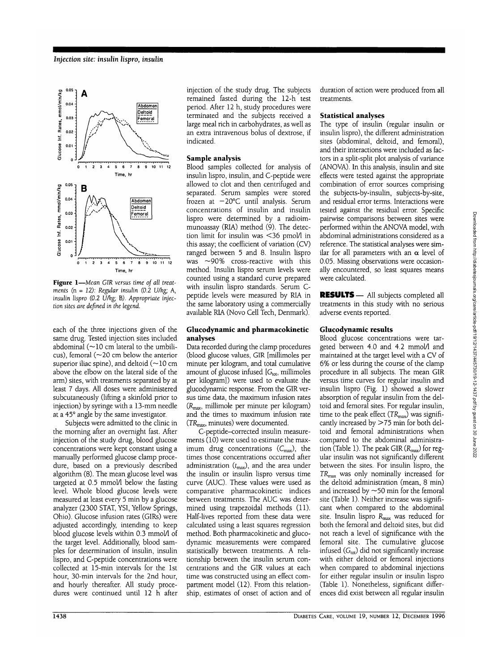

**Figure 1**—*Mean GIR versus time oj all treatments* (n = *12): Regular insulin (0.2 U/kg; A, insulin lispro (0.2 U/kg;* B). *Appropriate injection sites are defined in the legend.*

each of the three injections given of the same drug. Tested injection sites included abdominal ( $\sim$ 10 cm lateral to the umbilicus), femoral ( $\sim$ 20 cm below the anterior superior iliac spine), and deltoid ( $\sim$ 10 cm above the elbow on the lateral side of the arm) sites, with treatments separated by at least 7 days. All doses were administered subcutaneously (lifting a skinfold prior to injection) by syringe with a 13-mm needle at a 45° angle by the same investigator.

Subjects were admitted to the clinic in the morning after an overnight fast. After injection of the study drug, blood glucose concentrations were kept constant using a manually performed glucose clamp procedure, based on a previously described algorithm (8). The mean glucose level was targeted at 0.5 mmol/l below the fasting level. Whole blood glucose levels were measured at least every 5 min by a glucose analyzer (2300 STAT, YSI, Yellow Springs, Ohio). Glucose infusion rates (GIRs) were adjusted accordingly, intending to keep blood glucose levels within 0.3 mmol/l of the target level. Additionally, blood samples for determination of insulin, insulin lispro, and C-peptide concentrations were collected at 15-min intervals for the 1st hour, 30-min intervals for the 2nd hour, and hourly thereafter. All study procedures were continued until 12 h after

injection of the study drug. The subjects remained fasted during the 12-h test period. After 12 h, study procedures were terminated and the subjects received a large meal rich in carbohydrates, as well as an extra intravenous bolus of dextrose, if indicated.

### **Sample analysis**

Blood samples collected for analysis of insulin lispro, insulin, and C-peptide were allowed to clot and then centrifuged and separated. Serum samples were stored frozen at — 20°C until analysis. Serum concentrations of insulin and insulin lispro were determined by a radioimmunoassay (RIA) method  $(9)$ . The detection limit for insulin was <36 pmol/l in this assay; the coefficient of variation (CV) ranged between 5 and 8. Insulin lispro was ~90% cross-reactive with this method. Insulin lispro serum levels were counted using a standard curve prepared with insulin lispro standards. Serum Cpeptide levels were measured by RIA in the same laboratory using a commercially available RIA (Novo Cell Tech, Denmark).

#### **Glucodynamic and pharmacokinetic analyses**

Data recorded during the clamp procedures (blood glucose values, GIR [millimoles per minute per kilogram, and total cumulative amount of glucose infused  $[G<sub>tot</sub>,$  millimoles per kilogram]) were used to evaluate the glucodynamic response. From the GIR versus time data, the maximum infusion rates  $(R<sub>max</sub>,$  millimole per minute per kilogram) and the times to maximum infusion rate  $(TR_{\text{max}},$  minutes) were documented.

C-peptide-corrected insulin measurements (10) were used to estimate the maximum drug concentrations  $(C_{\text{max}})$ , the times those concentrations occurred after administration  $(t_{\text{max}})$ , and the area under the insulin or insulin lispro versus time curve (AUC). These values were used as comparative pharmacokinetic indices between treatments. The AUC was determined using trapezoidal methods (11). Half-lives reported from these data were calculated using a least squares regression method. Both pharmacokinetic and glucodynamic measurements were compared statistically between treatments. A relationship between the insulin serum concentrations and the GIR values at each time was constructed using an effect compartment model (12). From this relationship, estimates of onset of action and of duration of action were produced from all treatments.

#### **Statistical analyses**

The type of insulin (regular insulin or insulin lispro), the different administration sites (abdominal, deltoid, and femoral), and their interactions were included as factors in a split-split plot analysis of variance (ANOVA). In this analysis, insulin and site effects were tested against the appropriate combination of error sources comprising the subjects-by-insulin, subjects-by-site, and residual error terms. Interactions were tested against the residual error. Specific pairwise comparisons between sites were performed within the ANOVA model, with abdominal administrations considered as a reference. The statistical analyses were similar for all parameters with an  $\alpha$  level of 0.05. Missing observations were occasionally encountered, so least squares means were calculated.

**RESULTS** — All subjects completed all treatments in this study with no serious adverse events reported.

## **Glucodynamic results**

Blood glucose concentrations were targeted between 4.0 and 4.2 mmol/l and maintained at the target level with a CV of 6% or less during the course of the clamp procedure in all subjects. The mean GIR versus time curves for regular insulin and insulin lispro (Fig. 1) showed a slower absorption of regular insulin from the deltoid and femoral sites. For regular insulin, time to the peak effect (TR<sub>max</sub>) was significantly increased by >75 min for both deltoid and femoral administrations when compared to the abdominal administration (Table 1). The peak GIR  $(R_{\text{max}})$  for regular insulin was not significantly different between the sites. For insulin lispro, the *TRmax* was only nominally increased for the deltoid administration (mean, 8 min) and increased by  $\sim$  50 min for the femoral site (Table 1). Neither increase was significant when compared to the abdominal site. Insulin lispro Rmax was reduced for both the femoral and deltoid sites, but did not reach a level of significance with the femoral site. The cumulative glucose infused  $(G<sub>tot</sub>)$  did not significantly increase with either deltoid or femoral injections when compared to abdominal injections for either regular insulin or insulin lispro (Table 1). Nonetheless, significant differences did exist between all regular insulin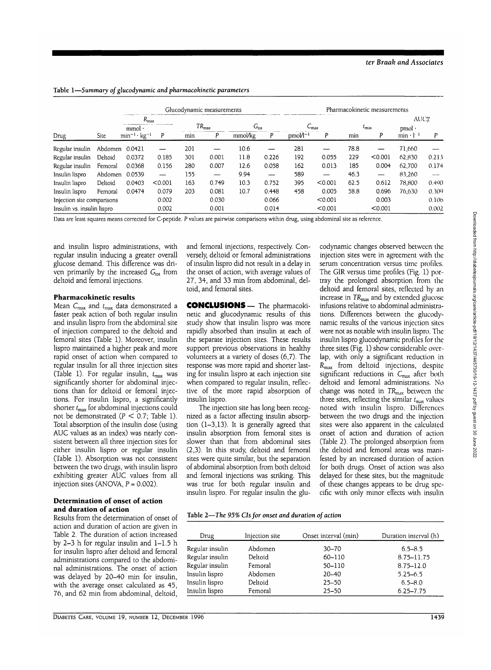|                                     |         | Glucodynamic measurements |         |       |                   |               |       | Pharmacokinetic measurements |                  |       |                |                    |                |
|-------------------------------------|---------|---------------------------|---------|-------|-------------------|---------------|-------|------------------------------|------------------|-------|----------------|--------------------|----------------|
|                                     |         | $R_{\rm max}$<br>$mmol$ . |         |       | $TR_{\text{max}}$ | $G_{\rm tot}$ |       |                              | ∪ <sub>max</sub> |       | $\iota_{\max}$ | AUC。<br>pmol·      |                |
| Drug                                | Site    | $min^{-1}$ · $kg^{-1}$    | P       | min   | P                 | mmol/kg       | P     | $pmol/l^{-1}$                | P                | min   | Р              | $min \cdot 1^{-1}$ | P              |
| Regular insulin                     | Abdomen | 0.0421                    |         | 201   |                   | 10.6          |       | 281                          |                  | 78.8  |                | 71,660             |                |
| Regular insulin                     | Deltoid | 0.0372                    | 0.185   | 301   | 0.001             | 11.8          | 0.226 | 192                          | 0.055            | 229   | < 0.001        | 62,830             | 0.213          |
| Regular insulin                     | Femoral | 0.0368                    | 0.156   | 280   | 0.007             | 12.6          | 0.058 | 162                          | 0.013            | 185   | 0.004          | 62,700             | 0.174          |
| Insulin lispro                      | Abdomen | 0.0539                    |         | 155   |                   | 9.94          |       | 589                          | —                | 46.3  | —              | 83,260             | $\overline{a}$ |
| Insulin lispro                      | Deltoid | 0.0403                    | < 0.001 | 163   | 0.749             | 10.3          | 0.752 | 395                          | < 0.001          | 62.5  | 0.612          | 78,800             | 0.490          |
| Insulin lispro                      | Femoral | 0.0474                    | 0.079   | 203   | 0.081             | 10.7          | 0.448 | 458                          | 0.005            | 58.8  | 0.696          | 76,630             | 0.309          |
| 0.002<br>Injection site comparisons |         |                           |         | 0.030 |                   | 0.066         |       | < 0.001                      |                  | 0.003 |                | 0.106              |                |
| Insulin vs. insulin lispro          |         |                           | 0.002   |       | 0.001             |               | 0.014 |                              | < 0.001          |       | < 0.001        |                    | 0.002          |

Table 1—*Summary of glucodynamic and pharmacokinetic parameters*

Data are least squares means corrected for C-peptide. P values are pairwise comparisons within drug, using abdominal site as reference.

and insulin lispro administrations, with regular insulin inducing a greater overall glucose demand. This difference was driven primarily by the increased  $G<sub>tot</sub>$  from deltoid and femoral injections.

#### **Pharmacokinetic results**

Mean  $C_{\text{max}}$  and  $t_{\text{max}}$  data demonstrated a faster peak action of both regular insulin and insulin lispro from the abdominal site of injection compared to the deltoid and femoral sites (Table 1). Moreover, insulin lispro maintained a higher peak and more rapid onset of action when compared to regular insulin for all three injection sites (Table 1). For regular insulin,  $t_{\text{max}}$  was significantly shorter for abdominal injections than for deltoid or femoral injections. For insulin lispro, a significantly shorter  $t_{\text{max}}$  for abdominal injections could not be demonstrated ( $P < 0.7$ ; Table 1). Total absorption of the insulin dose (using AUC values as an index) was nearly consistent between all three injection sites for either insulin lispro or regular insulin (Table 1). Absorption was not consistent between the two drugs, with insulin lispro exhibiting greater AUC values from all injection sites (ANOVA,  $P = 0.002$ ).

#### **Determination of onset of action and duration of action**

Results from the determination of onset of action and duration of action are given in Table 2. The duration of action increased by 2-3 h for regular insulin and  $1-1.5$  h for insulin lispro after deltoid and femoral administrations compared to the abdominal administrations. The onset of action was delayed by 20-40 min for insulin, with the average onset calculated as 45, 76, and 62 min from abdominal, deltoid,

and femoral injections, respectively. Conversely, deltoid or femoral administrations of insulin lispro did not result in a delay in the onset of action, with average values of 27, 34, and 33 min from abdominal, deltoid, and femoral sites.

**CONCLUSIONS—** The pharmacokinetic and glucodynamic results of this study show that insulin lispro was more rapidly absorbed than insulin at each of the separate injection sites. These results support previous observations in healthy volunteers at a variety of doses (6,7). The response was more rapid and shorter lasting for insulin lispro at each injection site when compared to regular insulin, reflective of the more rapid absorption of insulin lispro.

The injection site has long been recognized as a factor affecting insulin absorption (1-3,13). It is generally agreed that insulin absorption from femoral sites is slower than that from abdominal sites (2,3). In this study, deltoid and femoral sites were quite similar, but the separation of abdominal absorption from both deltoid and femoral injections was striking. This was true for both regular insulin and insulin lispro. For regular insulin the glucodynamic changes observed between the injection sites were in agreement with the serum concentration versus time profiles. The GIR versus time profiles (Fig. 1) portray the prolonged absorption from the deltoid and femoral sites, reflected by an increase in  $TR_{\text{max}}$  and by extended glucose infusions relative to abdominal administrations. Differences between the glucodynamic results of the various injection sites were not as notable with insulin lispro. The insulin lispro glucodynamic profiles for the three sites (Fig. 1) show considerable overlap, with only a significant reduction in  $R_{\text{max}}$  from deltoid injections, despite significant reductions in  $C_{\text{max}}$  after both deltoid and femoral administrations. No change was noted in TR<sub>max</sub> between the three sites, reflecting the similar  $t_{\text{max}}$  values noted with insulin lispro. Differences between the two drugs and the injection sites were also apparent in the calculated onset of action and duration of action (Table 2). The prolonged absorption from the deltoid and femoral areas was manifested by an increased duration of action for both drugs. Onset of action was also delayed for these sites, but the magnitude of these changes appears to be drug specific with only minor effects with insulin

| Table 2-The 95% CIs for onset and duration of action |
|------------------------------------------------------|
|------------------------------------------------------|

| Drug            | Injection site | Onset interval (min) | Duration interval (h) |
|-----------------|----------------|----------------------|-----------------------|
| Regular insulin | Abdomen        | $30 - 70$            | $6.5 - 8.5$           |
| Regular insulin | Deltoid        | 60-110               | $8.75 - 11.75$        |
| Regular insulin | Femoral        | 50-110               | $8.75 - 12.0$         |
| Insulin lispro  | Abdomen        | $20 - 40$            | $5.25 - 6.5$          |
| Insulin lispro  | Deltoid        | $25 - 50$            | $6.5 - 8.0$           |
| Insulin lispro  | Femoral        | $25 - 50$            | $6.25 - 7.75$         |